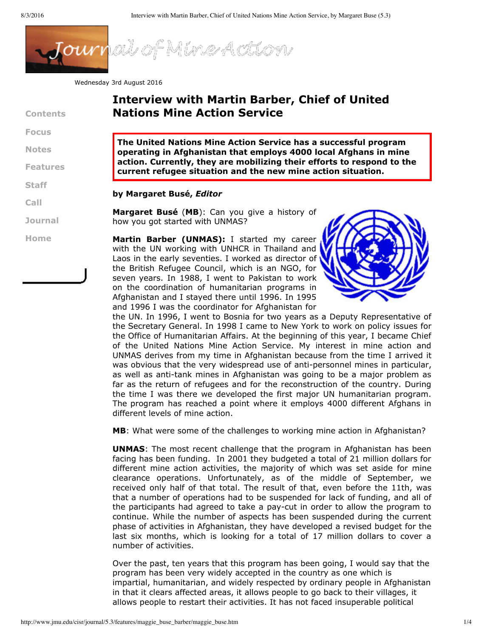

Wednesday 3rd August 2016

**Contents**

**[Focus](http://www.jmu.edu/cisr/journal/5.3/index.htm#focus)**

**[Notes](http://www.jmu.edu/cisr/journal/5.3/index.htm#notes)**

**[Features](http://www.jmu.edu/cisr/journal/5.3/index.htm#feature)**

**[Staff](http://www.jmu.edu/cisr/staff/index.shtml)**

**[Call](http://www.jmu.edu/cisr/journal/cfps.shtml)**

**[Journal](http://www.jmu.edu/cisr/journal/current.shtml)**

**[H](http://www.jmu.edu/cisr)ome**

## **Interview with Martin Barber, Chief of United Nations Mine Action Service**

**The United Nations Mine Action Service has a successful program operating in Afghanistan that employs 4000 local Afghans in mine action. Currently, they are mobilizing their efforts to respond to the current refugee situation and the new mine action situation.**

## **by Margaret Busé,** *Editor*

**Margaret Busé** (**MB**): Can you give a history of how you got started with UNMAS?

**Martin Barber (UNMAS):** I started my career with the UN working with UNHCR in Thailand and Laos in the early seventies. I worked as director of the British Refugee Council, which is an NGO, for seven years. In 1988, I went to Pakistan to work on the coordination of humanitarian programs in Afghanistan and I stayed there until 1996. In 1995 and 1996 I was the coordinator for Afghanistan for



the UN. In 1996, I went to Bosnia for two years as a Deputy Representative of the Secretary General. In 1998 I came to New York to work on policy issues for the Office of Humanitarian Affairs. At the beginning of this year, I became Chief of the United Nations Mine Action Service. My interest in mine action and UNMAS derives from my time in Afghanistan because from the time I arrived it was obvious that the very widespread use of anti-personnel mines in particular, as well as anti-tank mines in Afghanistan was going to be a major problem as far as the return of refugees and for the reconstruction of the country. During the time I was there we developed the first major UN humanitarian program. The program has reached a point where it employs 4000 different Afghans in different levels of mine action.

**MB**: What were some of the challenges to working mine action in Afghanistan?

**UNMAS**: The most recent challenge that the program in Afghanistan has been facing has been funding. In 2001 they budgeted a total of 21 million dollars for different mine action activities, the majority of which was set aside for mine clearance operations. Unfortunately, as of the middle of September, we received only half of that total. The result of that, even before the 11th, was that a number of operations had to be suspended for lack of funding, and all of the participants had agreed to take a paycut in order to allow the program to continue. While the number of aspects has been suspended during the current phase of activities in Afghanistan, they have developed a revised budget for the last six months, which is looking for a total of 17 million dollars to cover a number of activities.

Over the past, ten years that this program has been going, I would say that the program has been very widely accepted in the country as one which is impartial, humanitarian, and widely respected by ordinary people in Afghanistan in that it clears affected areas, it allows people to go back to their villages, it allows people to restart their activities. It has not faced insuperable political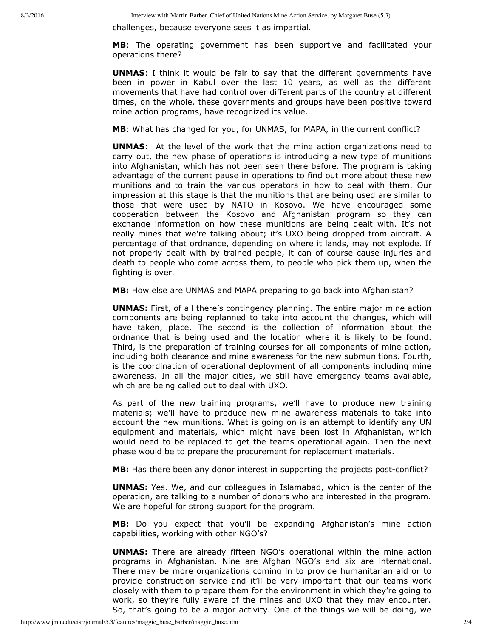challenges, because everyone sees it as impartial.

**MB**: The operating government has been supportive and facilitated your operations there?

**UNMAS**: I think it would be fair to say that the different governments have been in power in Kabul over the last 10 years, as well as the different movements that have had control over different parts of the country at different times, on the whole, these governments and groups have been positive toward mine action programs, have recognized its value.

**MB**: What has changed for you, for UNMAS, for MAPA, in the current conflict?

**UNMAS**: At the level of the work that the mine action organizations need to carry out, the new phase of operations is introducing a new type of munitions into Afghanistan, which has not been seen there before. The program is taking advantage of the current pause in operations to find out more about these new munitions and to train the various operators in how to deal with them. Our impression at this stage is that the munitions that are being used are similar to those that were used by NATO in Kosovo. We have encouraged some cooperation between the Kosovo and Afghanistan program so they can exchange information on how these munitions are being dealt with. It's not really mines that we're talking about; it's UXO being dropped from aircraft. A percentage of that ordnance, depending on where it lands, may not explode. If not properly dealt with by trained people, it can of course cause injuries and death to people who come across them, to people who pick them up, when the fighting is over.

**MB:** How else are UNMAS and MAPA preparing to go back into Afghanistan?

**UNMAS:** First, of all there's contingency planning. The entire major mine action components are being replanned to take into account the changes, which will have taken, place. The second is the collection of information about the ordnance that is being used and the location where it is likely to be found. Third, is the preparation of training courses for all components of mine action, including both clearance and mine awareness for the new submunitions. Fourth, is the coordination of operational deployment of all components including mine awareness. In all the major cities, we still have emergency teams available, which are being called out to deal with UXO.

As part of the new training programs, we'll have to produce new training materials; we'll have to produce new mine awareness materials to take into account the new munitions. What is going on is an attempt to identify any UN equipment and materials, which might have been lost in Afghanistan, which would need to be replaced to get the teams operational again. Then the next phase would be to prepare the procurement for replacement materials.

MB: Has there been any donor interest in supporting the projects post-conflict?

**UNMAS:** Yes. We, and our colleagues in Islamabad, which is the center of the operation, are talking to a number of donors who are interested in the program. We are hopeful for strong support for the program.

**MB:** Do you expect that you'll be expanding Afghanistan's mine action capabilities, working with other NGO's?

**UNMAS:** There are already fifteen NGO's operational within the mine action programs in Afghanistan. Nine are Afghan NGO's and six are international. There may be more organizations coming in to provide humanitarian aid or to provide construction service and it'll be very important that our teams work closely with them to prepare them for the environment in which they're going to work, so they're fully aware of the mines and UXO that they may encounter. So, that's going to be a major activity. One of the things we will be doing, we